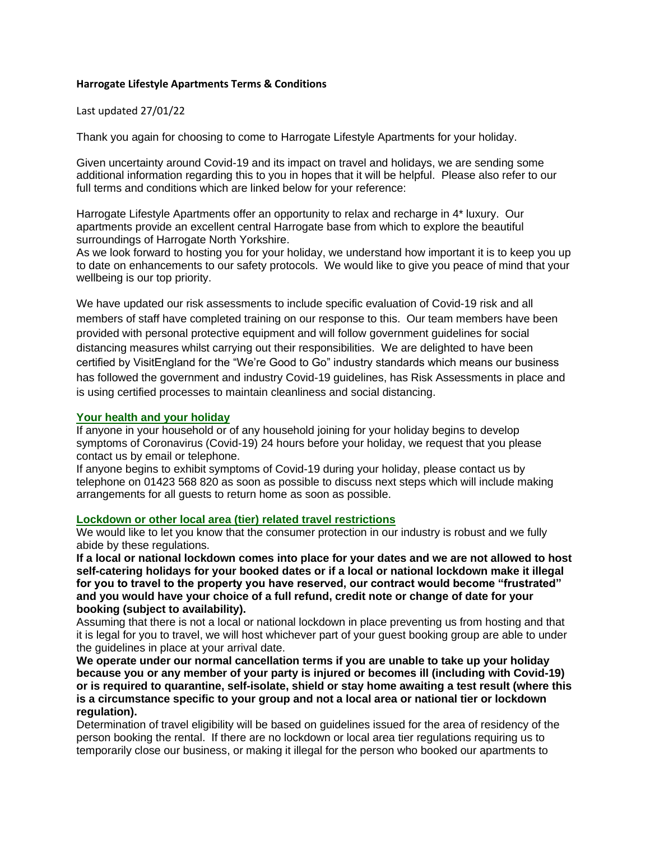# **Harrogate Lifestyle Apartments Terms & Conditions**

# Last updated 27/01/22

Thank you again for choosing to come to Harrogate Lifestyle Apartments for your holiday.

Given uncertainty around Covid-19 and its impact on travel and holidays, we are sending some additional information regarding this to you in hopes that it will be helpful. Please also refer to our full terms and conditions which are linked below for your reference:

Harrogate Lifestyle Apartments offer an opportunity to relax and recharge in 4\* luxury. Our apartments provide an excellent central Harrogate base from which to explore the beautiful surroundings of Harrogate North Yorkshire.

As we look forward to hosting you for your holiday, we understand how important it is to keep you up to date on enhancements to our safety protocols. We would like to give you peace of mind that your wellbeing is our top priority.

We have updated our risk assessments to include specific evaluation of Covid-19 risk and all members of staff have completed training on our response to this. Our team members have been provided with personal protective equipment and will follow government guidelines for social distancing measures whilst carrying out their responsibilities. We are delighted to have been certified by VisitEngland for the "We're Good to Go" industry standards which means our business has followed the government and industry Covid-19 guidelines, has Risk Assessments in place and is using certified processes to maintain cleanliness and social distancing.

## **Your health and your holiday**

If anyone in your household or of any household joining for your holiday begins to develop symptoms of Coronavirus (Covid-19) 24 hours before your holiday, we request that you please contact us by email or telephone.

If anyone begins to exhibit symptoms of Covid-19 during your holiday, please contact us by telephone on 01423 568 820 as soon as possible to discuss next steps which will include making arrangements for all guests to return home as soon as possible.

# **Lockdown or other local area (tier) related travel restrictions**

We would like to let you know that the consumer protection in our industry is robust and we fully abide by these regulations.

**If a local or national lockdown comes into place for your dates and we are not allowed to host self-catering holidays for your booked dates or if a local or national lockdown make it illegal for you to travel to the property you have reserved, our contract would become "frustrated" and you would have your choice of a full refund, credit note or change of date for your booking (subject to availability).**

Assuming that there is not a local or national lockdown in place preventing us from hosting and that it is legal for you to travel, we will host whichever part of your guest booking group are able to under the guidelines in place at your arrival date.

**We operate under our normal cancellation terms if you are unable to take up your holiday because you or any member of your party is injured or becomes ill (including with Covid-19) or is required to quarantine, self-isolate, shield or stay home awaiting a test result (where this is a circumstance specific to your group and not a local area or national tier or lockdown regulation).**

Determination of travel eligibility will be based on guidelines issued for the area of residency of the person booking the rental. If there are no lockdown or local area tier regulations requiring us to temporarily close our business, or making it illegal for the person who booked our apartments to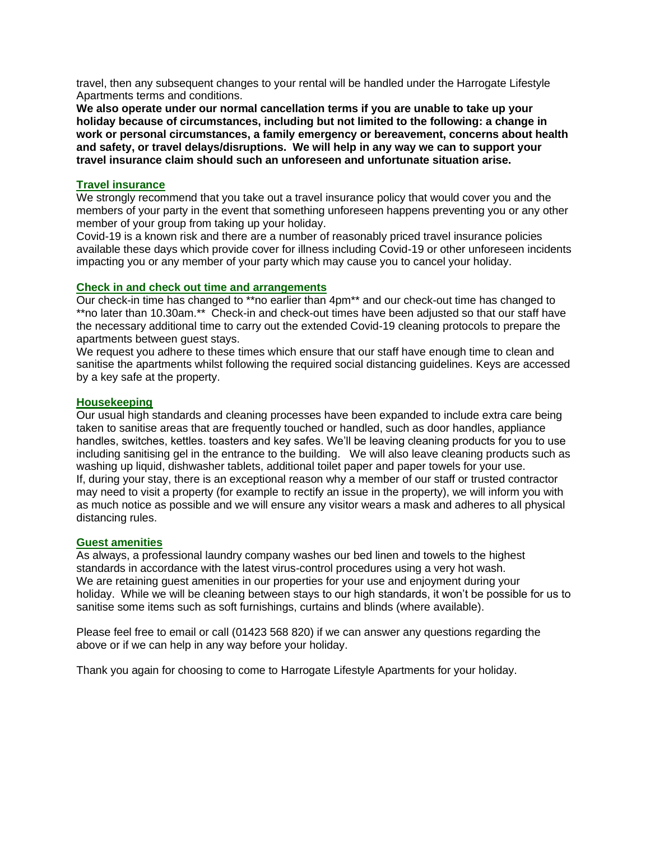travel, then any subsequent changes to your rental will be handled under the Harrogate Lifestyle Apartments terms and conditions.

**We also operate under our normal cancellation terms if you are unable to take up your holiday because of circumstances, including but not limited to the following: a change in work or personal circumstances, a family emergency or bereavement, concerns about health and safety, or travel delays/disruptions. We will help in any way we can to support your travel insurance claim should such an unforeseen and unfortunate situation arise.** 

# **Travel insurance**

We strongly recommend that you take out a travel insurance policy that would cover you and the members of your party in the event that something unforeseen happens preventing you or any other member of your group from taking up your holiday.

Covid-19 is a known risk and there are a number of reasonably priced travel insurance policies available these days which provide cover for illness including Covid-19 or other unforeseen incidents impacting you or any member of your party which may cause you to cancel your holiday.

# **Check in and check out time and arrangements**

Our check-in time has changed to \*\*no earlier than 4pm\*\* and our check-out time has changed to \*\*no later than 10.30am.\*\* Check-in and check-out times have been adjusted so that our staff have the necessary additional time to carry out the extended Covid-19 cleaning protocols to prepare the apartments between guest stays.

We request you adhere to these times which ensure that our staff have enough time to clean and sanitise the apartments whilst following the required social distancing guidelines. Keys are accessed by a key safe at the property.

# **Housekeeping**

Our usual high standards and cleaning processes have been expanded to include extra care being taken to sanitise areas that are frequently touched or handled, such as door handles, appliance handles, switches, kettles. toasters and key safes. We'll be leaving cleaning products for you to use including sanitising gel in the entrance to the building. We will also leave cleaning products such as washing up liquid, dishwasher tablets, additional toilet paper and paper towels for your use. If, during your stay, there is an exceptional reason why a member of our staff or trusted contractor may need to visit a property (for example to rectify an issue in the property), we will inform you with as much notice as possible and we will ensure any visitor wears a mask and adheres to all physical distancing rules.

## **Guest amenities**

As always, a professional laundry company washes our bed linen and towels to the highest standards in accordance with the latest virus-control procedures using a very hot wash. We are retaining guest amenities in our properties for your use and enjoyment during your holiday. While we will be cleaning between stays to our high standards, it won't be possible for us to sanitise some items such as soft furnishings, curtains and blinds (where available).

Please feel free to email or call (01423 568 820) if we can answer any questions regarding the above or if we can help in any way before your holiday.

Thank you again for choosing to come to Harrogate Lifestyle Apartments for your holiday.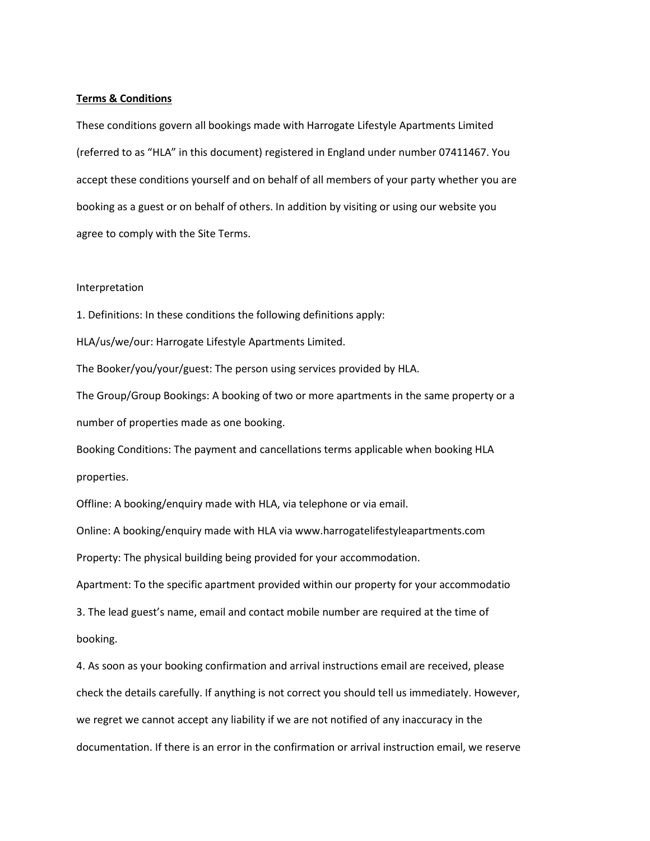# **Terms & Conditions**

These conditions govern all bookings made with Harrogate Lifestyle Apartments Limited (referred to as "HLA" in this document) registered in England under number 07411467. You accept these conditions yourself and on behalf of all members of your party whether you are booking as a guest or on behalf of others. In addition by visiting or using our website you agree to comply with the Site Terms.

#### Interpretation

1. Definitions: In these conditions the following definitions apply:

HLA/us/we/our: Harrogate Lifestyle Apartments Limited.

The Booker/you/your/guest: The person using services provided by HLA.

The Group/Group Bookings: A booking of two or more apartments in the same property or a number of properties made as one booking.

Booking Conditions: The payment and cancellations terms applicable when booking HLA properties.

Offline: A booking/enquiry made with HLA, via telephone or via email.

Online: A booking/enquiry made with HLA via www.harrogatelifestyleapartments.com Property: The physical building being provided for your accommodation. Apartment: To the specific apartment provided within our property for your accommodatio 3. The lead guest's name, email and contact mobile number are required at the time of

booking.

4. As soon as your booking confirmation and arrival instructions email are received, please check the details carefully. If anything is not correct you should tell us immediately. However, we regret we cannot accept any liability if we are not notified of any inaccuracy in the documentation. If there is an error in the confirmation or arrival instruction email, we reserve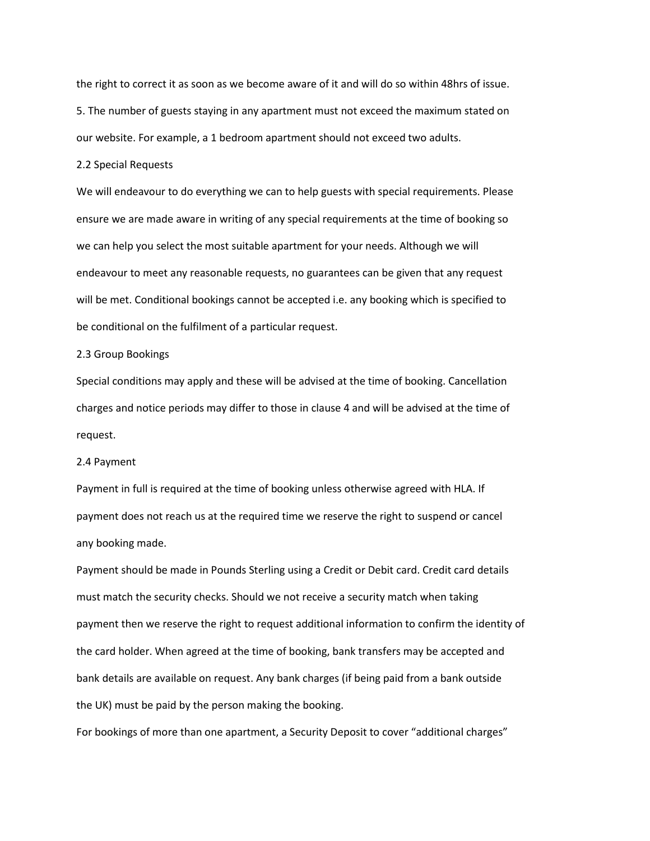the right to correct it as soon as we become aware of it and will do so within 48hrs of issue.

5. The number of guests staying in any apartment must not exceed the maximum stated on our website. For example, a 1 bedroom apartment should not exceed two adults.

#### 2.2 Special Requests

We will endeavour to do everything we can to help guests with special requirements. Please ensure we are made aware in writing of any special requirements at the time of booking so we can help you select the most suitable apartment for your needs. Although we will endeavour to meet any reasonable requests, no guarantees can be given that any request will be met. Conditional bookings cannot be accepted i.e. any booking which is specified to be conditional on the fulfilment of a particular request.

### 2.3 Group Bookings

Special conditions may apply and these will be advised at the time of booking. Cancellation charges and notice periods may differ to those in clause 4 and will be advised at the time of request.

### 2.4 Payment

Payment in full is required at the time of booking unless otherwise agreed with HLA. If payment does not reach us at the required time we reserve the right to suspend or cancel any booking made.

Payment should be made in Pounds Sterling using a Credit or Debit card. Credit card details must match the security checks. Should we not receive a security match when taking payment then we reserve the right to request additional information to confirm the identity of the card holder. When agreed at the time of booking, bank transfers may be accepted and bank details are available on request. Any bank charges (if being paid from a bank outside the UK) must be paid by the person making the booking.

For bookings of more than one apartment, a Security Deposit to cover "additional charges"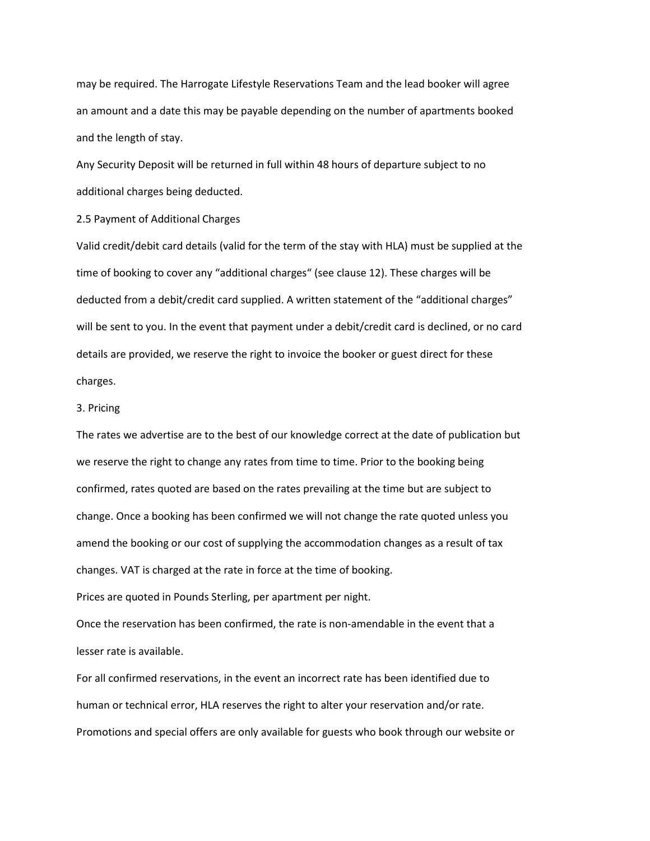may be required. The Harrogate Lifestyle Reservations Team and the lead booker will agree an amount and a date this may be payable depending on the number of apartments booked and the length of stay.

Any Security Deposit will be returned in full within 48 hours of departure subject to no additional charges being deducted.

2.5 Payment of Additional Charges

Valid credit/debit card details (valid for the term of the stay with HLA) must be supplied at the time of booking to cover any "additional charges" (see clause 12). These charges will be deducted from a debit/credit card supplied. A written statement of the "additional charges" will be sent to you. In the event that payment under a debit/credit card is declined, or no card details are provided, we reserve the right to invoice the booker or guest direct for these charges.

### 3. Pricing

The rates we advertise are to the best of our knowledge correct at the date of publication but we reserve the right to change any rates from time to time. Prior to the booking being confirmed, rates quoted are based on the rates prevailing at the time but are subject to change. Once a booking has been confirmed we will not change the rate quoted unless you amend the booking or our cost of supplying the accommodation changes as a result of tax changes. VAT is charged at the rate in force at the time of booking.

Prices are quoted in Pounds Sterling, per apartment per night.

Once the reservation has been confirmed, the rate is non-amendable in the event that a lesser rate is available.

For all confirmed reservations, in the event an incorrect rate has been identified due to human or technical error, HLA reserves the right to alter your reservation and/or rate. Promotions and special offers are only available for guests who book through our website or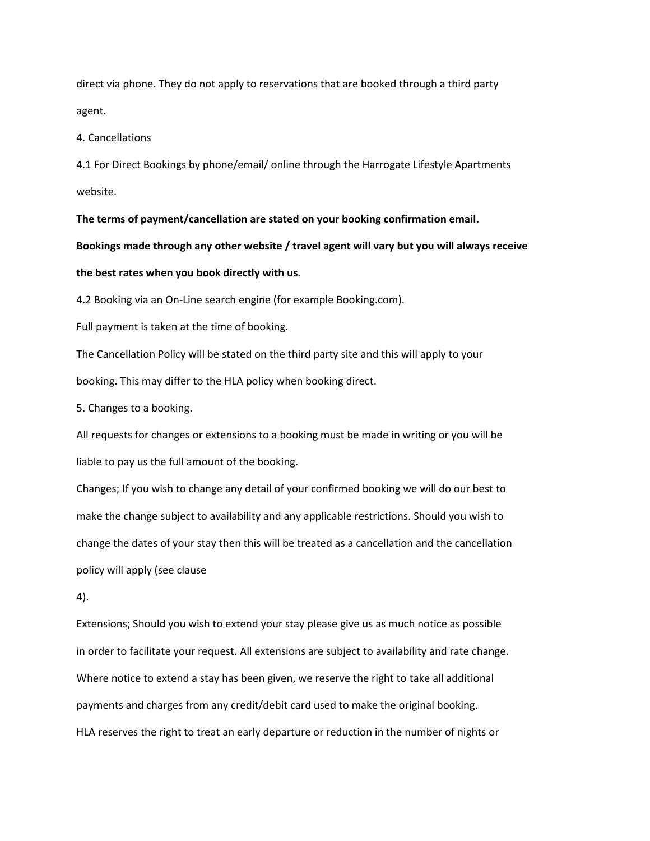direct via phone. They do not apply to reservations that are booked through a third party agent.

4. Cancellations

4.1 For Direct Bookings by phone/email/ online through the Harrogate Lifestyle Apartments website.

**The terms of payment/cancellation are stated on your booking confirmation email. Bookings made through any other website / travel agent will vary but you will always receive the best rates when you book directly with us.**

4.2 Booking via an On-Line search engine (for example Booking.com).

Full payment is taken at the time of booking.

The Cancellation Policy will be stated on the third party site and this will apply to your booking. This may differ to the HLA policy when booking direct.

5. Changes to a booking.

All requests for changes or extensions to a booking must be made in writing or you will be liable to pay us the full amount of the booking.

Changes; If you wish to change any detail of your confirmed booking we will do our best to make the change subject to availability and any applicable restrictions. Should you wish to change the dates of your stay then this will be treated as a cancellation and the cancellation policy will apply (see clause

4).

Extensions; Should you wish to extend your stay please give us as much notice as possible in order to facilitate your request. All extensions are subject to availability and rate change. Where notice to extend a stay has been given, we reserve the right to take all additional payments and charges from any credit/debit card used to make the original booking. HLA reserves the right to treat an early departure or reduction in the number of nights or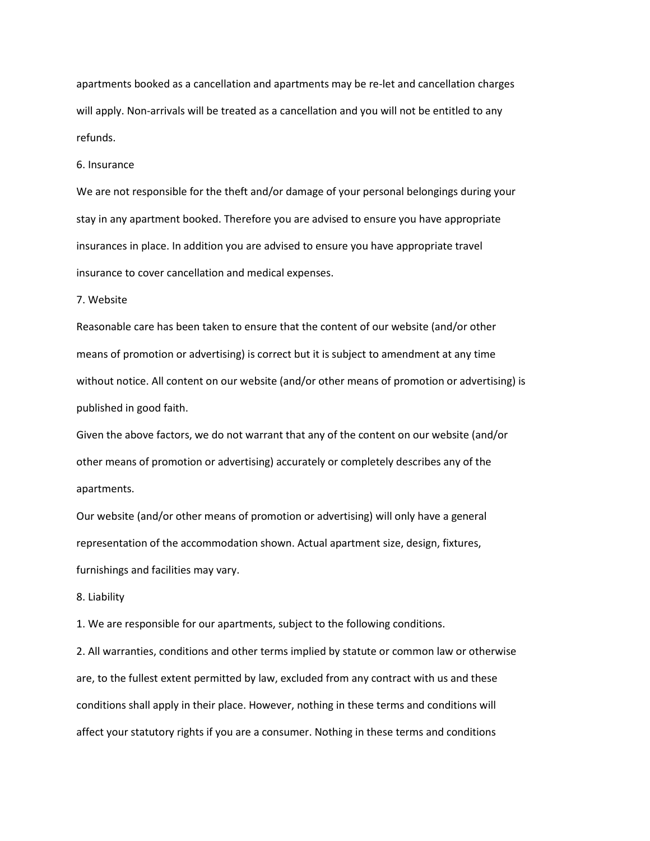apartments booked as a cancellation and apartments may be re-let and cancellation charges will apply. Non-arrivals will be treated as a cancellation and you will not be entitled to any refunds.

### 6. Insurance

We are not responsible for the theft and/or damage of your personal belongings during your stay in any apartment booked. Therefore you are advised to ensure you have appropriate insurances in place. In addition you are advised to ensure you have appropriate travel insurance to cover cancellation and medical expenses.

### 7. Website

Reasonable care has been taken to ensure that the content of our website (and/or other means of promotion or advertising) is correct but it is subject to amendment at any time without notice. All content on our website (and/or other means of promotion or advertising) is published in good faith.

Given the above factors, we do not warrant that any of the content on our website (and/or other means of promotion or advertising) accurately or completely describes any of the apartments.

Our website (and/or other means of promotion or advertising) will only have a general representation of the accommodation shown. Actual apartment size, design, fixtures, furnishings and facilities may vary.

### 8. Liability

1. We are responsible for our apartments, subject to the following conditions.

2. All warranties, conditions and other terms implied by statute or common law or otherwise are, to the fullest extent permitted by law, excluded from any contract with us and these conditions shall apply in their place. However, nothing in these terms and conditions will affect your statutory rights if you are a consumer. Nothing in these terms and conditions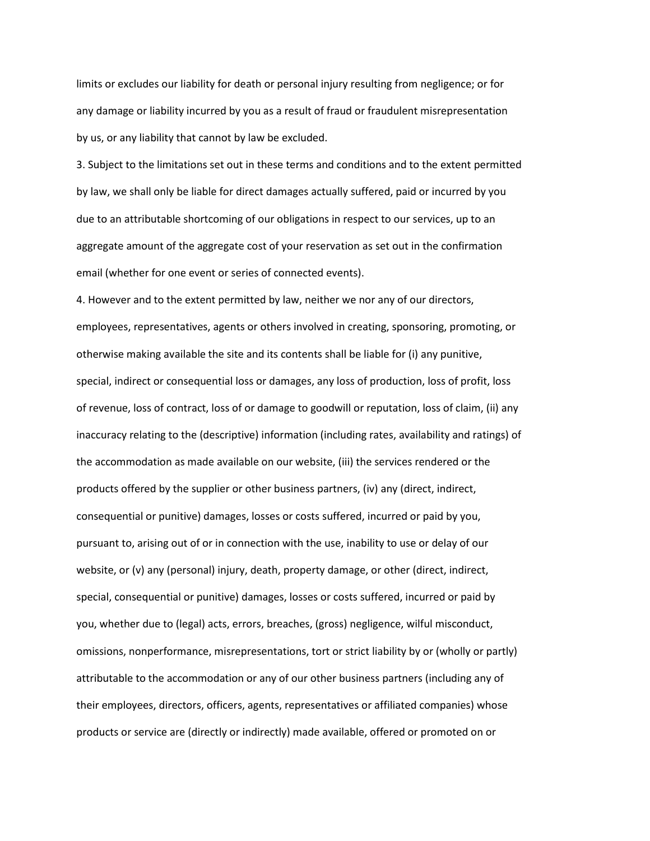limits or excludes our liability for death or personal injury resulting from negligence; or for any damage or liability incurred by you as a result of fraud or fraudulent misrepresentation by us, or any liability that cannot by law be excluded.

3. Subject to the limitations set out in these terms and conditions and to the extent permitted by law, we shall only be liable for direct damages actually suffered, paid or incurred by you due to an attributable shortcoming of our obligations in respect to our services, up to an aggregate amount of the aggregate cost of your reservation as set out in the confirmation email (whether for one event or series of connected events).

4. However and to the extent permitted by law, neither we nor any of our directors, employees, representatives, agents or others involved in creating, sponsoring, promoting, or otherwise making available the site and its contents shall be liable for (i) any punitive, special, indirect or consequential loss or damages, any loss of production, loss of profit, loss of revenue, loss of contract, loss of or damage to goodwill or reputation, loss of claim, (ii) any inaccuracy relating to the (descriptive) information (including rates, availability and ratings) of the accommodation as made available on our website, (iii) the services rendered or the products offered by the supplier or other business partners, (iv) any (direct, indirect, consequential or punitive) damages, losses or costs suffered, incurred or paid by you, pursuant to, arising out of or in connection with the use, inability to use or delay of our website, or (v) any (personal) injury, death, property damage, or other (direct, indirect, special, consequential or punitive) damages, losses or costs suffered, incurred or paid by you, whether due to (legal) acts, errors, breaches, (gross) negligence, wilful misconduct, omissions, nonperformance, misrepresentations, tort or strict liability by or (wholly or partly) attributable to the accommodation or any of our other business partners (including any of their employees, directors, officers, agents, representatives or affiliated companies) whose products or service are (directly or indirectly) made available, offered or promoted on or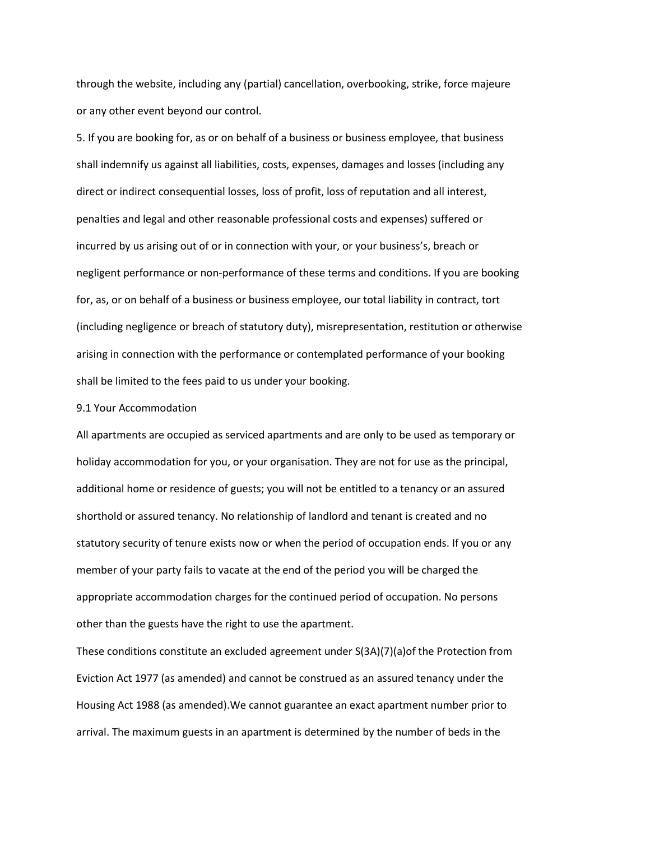through the website, including any (partial) cancellation, overbooking, strike, force majeure or any other event beyond our control.

5. If you are booking for, as or on behalf of a business or business employee, that business shall indemnify us against all liabilities, costs, expenses, damages and losses (including any direct or indirect consequential losses, loss of profit, loss of reputation and all interest, penalties and legal and other reasonable professional costs and expenses) suffered or incurred by us arising out of or in connection with your, or your business's, breach or negligent performance or non-performance of these terms and conditions. If you are booking for, as, or on behalf of a business or business employee, our total liability in contract, tort (including negligence or breach of statutory duty), misrepresentation, restitution or otherwise arising in connection with the performance or contemplated performance of your booking shall be limited to the fees paid to us under your booking.

### 9.1 Your Accommodation

All apartments are occupied as serviced apartments and are only to be used as temporary or holiday accommodation for you, or your organisation. They are not for use as the principal, additional home or residence of guests; you will not be entitled to a tenancy or an assured shorthold or assured tenancy. No relationship of landlord and tenant is created and no statutory security of tenure exists now or when the period of occupation ends. If you or any member of your party fails to vacate at the end of the period you will be charged the appropriate accommodation charges for the continued period of occupation. No persons other than the guests have the right to use the apartment.

These conditions constitute an excluded agreement under S(3A)(7)(a)of the Protection from Eviction Act 1977 (as amended) and cannot be construed as an assured tenancy under the Housing Act 1988 (as amended).We cannot guarantee an exact apartment number prior to arrival. The maximum guests in an apartment is determined by the number of beds in the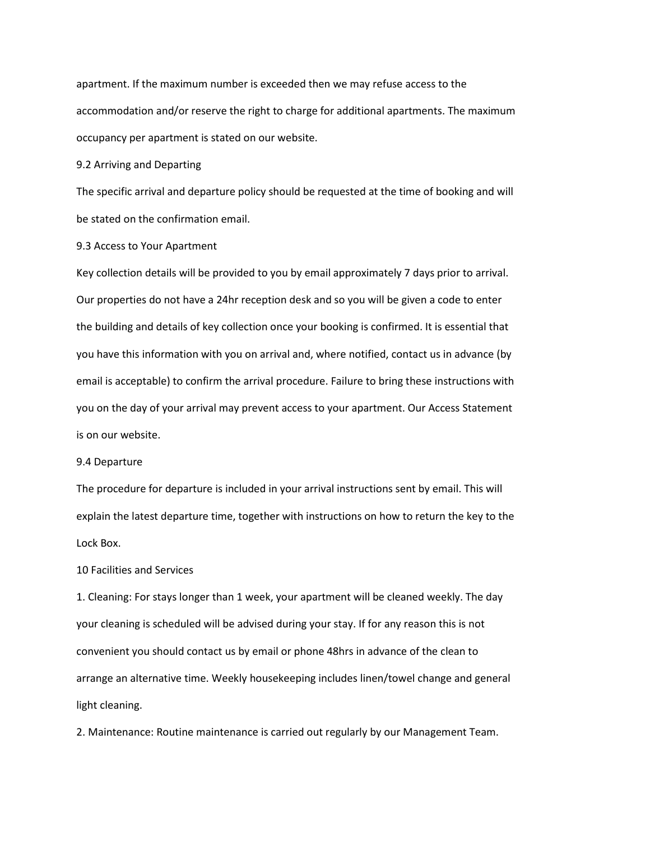apartment. If the maximum number is exceeded then we may refuse access to the accommodation and/or reserve the right to charge for additional apartments. The maximum occupancy per apartment is stated on our website.

9.2 Arriving and Departing

The specific arrival and departure policy should be requested at the time of booking and will be stated on the confirmation email.

9.3 Access to Your Apartment

Key collection details will be provided to you by email approximately 7 days prior to arrival. Our properties do not have a 24hr reception desk and so you will be given a code to enter the building and details of key collection once your booking is confirmed. It is essential that you have this information with you on arrival and, where notified, contact us in advance (by email is acceptable) to confirm the arrival procedure. Failure to bring these instructions with you on the day of your arrival may prevent access to your apartment. Our Access Statement is on our website.

### 9.4 Departure

The procedure for departure is included in your arrival instructions sent by email. This will explain the latest departure time, together with instructions on how to return the key to the Lock Box.

### 10 Facilities and Services

1. Cleaning: For stays longer than 1 week, your apartment will be cleaned weekly. The day your cleaning is scheduled will be advised during your stay. If for any reason this is not convenient you should contact us by email or phone 48hrs in advance of the clean to arrange an alternative time. Weekly housekeeping includes linen/towel change and general light cleaning.

2. Maintenance: Routine maintenance is carried out regularly by our Management Team.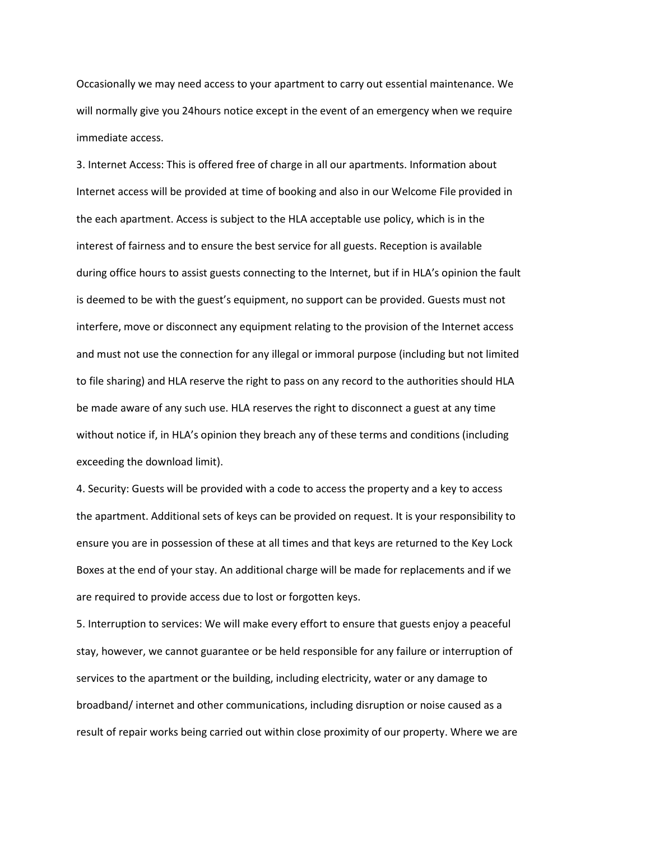Occasionally we may need access to your apartment to carry out essential maintenance. We will normally give you 24hours notice except in the event of an emergency when we require immediate access.

3. Internet Access: This is offered free of charge in all our apartments. Information about Internet access will be provided at time of booking and also in our Welcome File provided in the each apartment. Access is subject to the HLA acceptable use policy, which is in the interest of fairness and to ensure the best service for all guests. Reception is available during office hours to assist guests connecting to the Internet, but if in HLA's opinion the fault is deemed to be with the guest's equipment, no support can be provided. Guests must not interfere, move or disconnect any equipment relating to the provision of the Internet access and must not use the connection for any illegal or immoral purpose (including but not limited to file sharing) and HLA reserve the right to pass on any record to the authorities should HLA be made aware of any such use. HLA reserves the right to disconnect a guest at any time without notice if, in HLA's opinion they breach any of these terms and conditions (including exceeding the download limit).

4. Security: Guests will be provided with a code to access the property and a key to access the apartment. Additional sets of keys can be provided on request. It is your responsibility to ensure you are in possession of these at all times and that keys are returned to the Key Lock Boxes at the end of your stay. An additional charge will be made for replacements and if we are required to provide access due to lost or forgotten keys.

5. Interruption to services: We will make every effort to ensure that guests enjoy a peaceful stay, however, we cannot guarantee or be held responsible for any failure or interruption of services to the apartment or the building, including electricity, water or any damage to broadband/ internet and other communications, including disruption or noise caused as a result of repair works being carried out within close proximity of our property. Where we are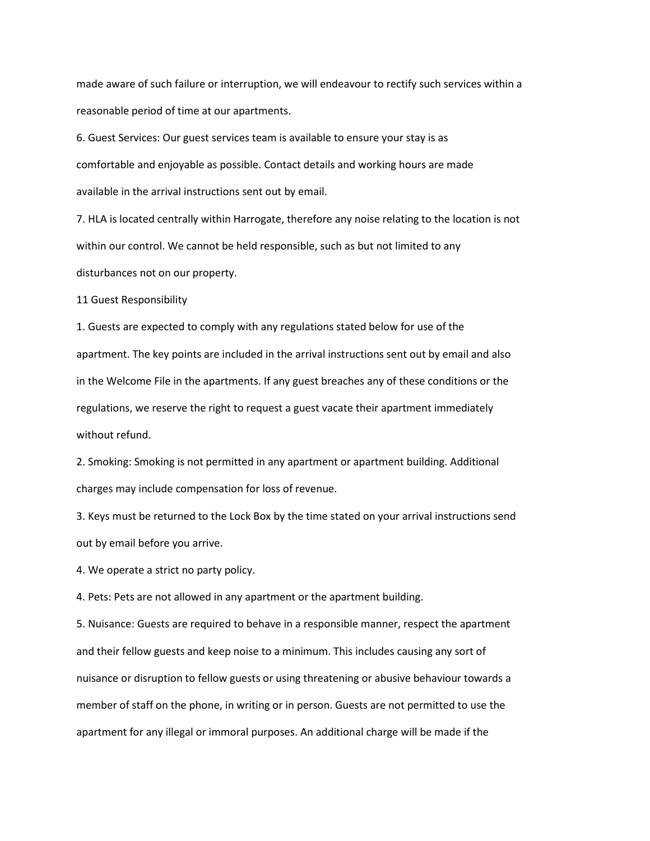made aware of such failure or interruption, we will endeavour to rectify such services within a reasonable period of time at our apartments.

6. Guest Services: Our guest services team is available to ensure your stay is as comfortable and enjoyable as possible. Contact details and working hours are made available in the arrival instructions sent out by email.

7. HLA is located centrally within Harrogate, therefore any noise relating to the location is not within our control. We cannot be held responsible, such as but not limited to any disturbances not on our property.

11 Guest Responsibility

1. Guests are expected to comply with any regulations stated below for use of the apartment. The key points are included in the arrival instructions sent out by email and also in the Welcome File in the apartments. If any guest breaches any of these conditions or the regulations, we reserve the right to request a guest vacate their apartment immediately without refund.

2. Smoking: Smoking is not permitted in any apartment or apartment building. Additional charges may include compensation for loss of revenue.

3. Keys must be returned to the Lock Box by the time stated on your arrival instructions send out by email before you arrive.

4. We operate a strict no party policy.

4. Pets: Pets are not allowed in any apartment or the apartment building.

5. Nuisance: Guests are required to behave in a responsible manner, respect the apartment and their fellow guests and keep noise to a minimum. This includes causing any sort of nuisance or disruption to fellow guests or using threatening or abusive behaviour towards a member of staff on the phone, in writing or in person. Guests are not permitted to use the apartment for any illegal or immoral purposes. An additional charge will be made if the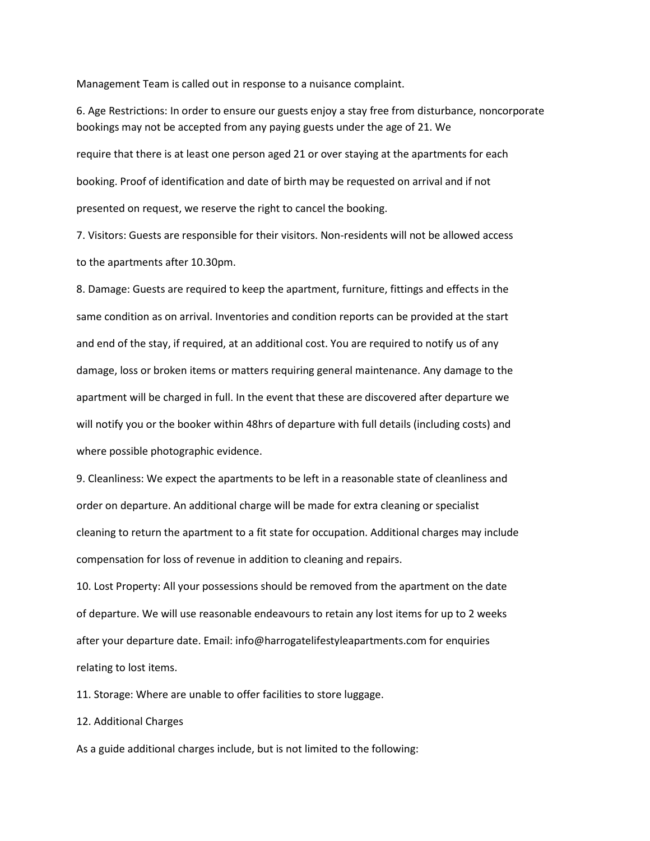Management Team is called out in response to a nuisance complaint.

6. Age Restrictions: In order to ensure our guests enjoy a stay free from disturbance, noncorporate bookings may not be accepted from any paying guests under the age of 21. We require that there is at least one person aged 21 or over staying at the apartments for each booking. Proof of identification and date of birth may be requested on arrival and if not presented on request, we reserve the right to cancel the booking.

7. Visitors: Guests are responsible for their visitors. Non-residents will not be allowed access to the apartments after 10.30pm.

8. Damage: Guests are required to keep the apartment, furniture, fittings and effects in the same condition as on arrival. Inventories and condition reports can be provided at the start and end of the stay, if required, at an additional cost. You are required to notify us of any damage, loss or broken items or matters requiring general maintenance. Any damage to the apartment will be charged in full. In the event that these are discovered after departure we will notify you or the booker within 48hrs of departure with full details (including costs) and where possible photographic evidence.

9. Cleanliness: We expect the apartments to be left in a reasonable state of cleanliness and order on departure. An additional charge will be made for extra cleaning or specialist cleaning to return the apartment to a fit state for occupation. Additional charges may include compensation for loss of revenue in addition to cleaning and repairs.

10. Lost Property: All your possessions should be removed from the apartment on the date of departure. We will use reasonable endeavours to retain any lost items for up to 2 weeks after your departure date. Email: info@harrogatelifestyleapartments.com for enquiries relating to lost items.

11. Storage: Where are unable to offer facilities to store luggage.

12. Additional Charges

As a guide additional charges include, but is not limited to the following: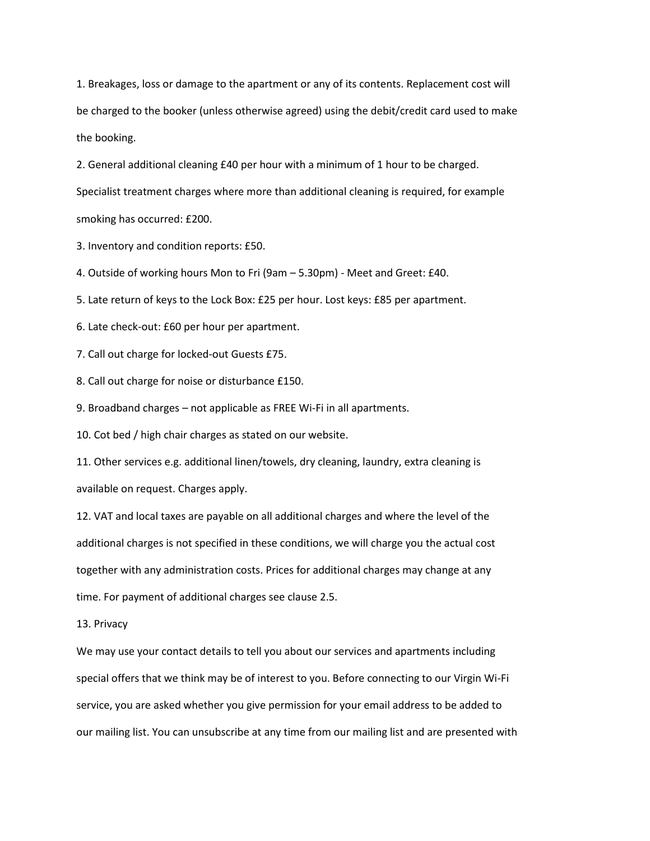1. Breakages, loss or damage to the apartment or any of its contents. Replacement cost will be charged to the booker (unless otherwise agreed) using the debit/credit card used to make the booking.

2. General additional cleaning £40 per hour with a minimum of 1 hour to be charged.

Specialist treatment charges where more than additional cleaning is required, for example

smoking has occurred: £200.

3. Inventory and condition reports: £50.

4. Outside of working hours Mon to Fri (9am – 5.30pm) - Meet and Greet: £40.

5. Late return of keys to the Lock Box: £25 per hour. Lost keys: £85 per apartment.

6. Late check-out: £60 per hour per apartment.

7. Call out charge for locked-out Guests £75.

8. Call out charge for noise or disturbance £150.

9. Broadband charges – not applicable as FREE Wi-Fi in all apartments.

10. Cot bed / high chair charges as stated on our website.

11. Other services e.g. additional linen/towels, dry cleaning, laundry, extra cleaning is available on request. Charges apply.

12. VAT and local taxes are payable on all additional charges and where the level of the additional charges is not specified in these conditions, we will charge you the actual cost together with any administration costs. Prices for additional charges may change at any time. For payment of additional charges see clause 2.5.

13. Privacy

We may use your contact details to tell you about our services and apartments including special offers that we think may be of interest to you. Before connecting to our Virgin Wi-Fi service, you are asked whether you give permission for your email address to be added to our mailing list. You can unsubscribe at any time from our mailing list and are presented with